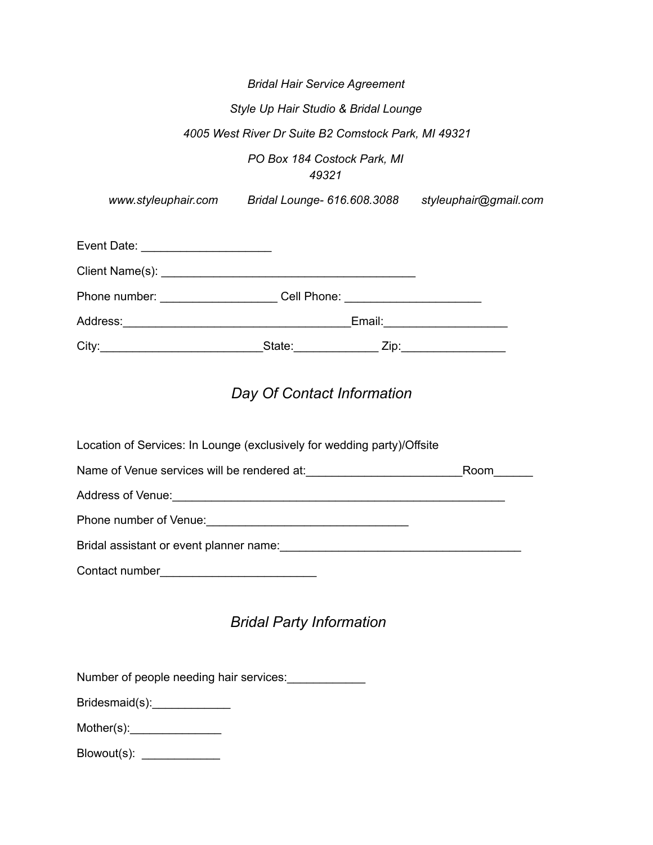|                                      | <b>Bridal Hair Service Agreement</b>                |                       |  |  |  |  |  |
|--------------------------------------|-----------------------------------------------------|-----------------------|--|--|--|--|--|
| Style Up Hair Studio & Bridal Lounge |                                                     |                       |  |  |  |  |  |
|                                      | 4005 West River Dr Suite B2 Comstock Park, MI 49321 |                       |  |  |  |  |  |
| PO Box 184 Costock Park, MI<br>49321 |                                                     |                       |  |  |  |  |  |
|                                      | www.styleuphair.com Bridal Lounge- 616.608.3088     | styleuphair@gmail.com |  |  |  |  |  |
|                                      |                                                     |                       |  |  |  |  |  |
|                                      |                                                     |                       |  |  |  |  |  |
| Phone number: and the phone number:  | Cell Phone: New York Cell Phone:                    |                       |  |  |  |  |  |
| Address:                             | Email:                                              |                       |  |  |  |  |  |

# *Day Of Contact Information*

City:\_\_\_\_\_\_\_\_\_\_\_\_\_\_\_\_\_\_\_\_\_\_\_\_\_State:\_\_\_\_\_\_\_\_\_\_\_\_\_ Zip:\_\_\_\_\_\_\_\_\_\_\_\_\_\_\_\_

| Location of Services: In Lounge (exclusively for wedding party)/Offsite             |      |
|-------------------------------------------------------------------------------------|------|
|                                                                                     | Room |
|                                                                                     |      |
| Phone number of Venue: The contract of the contract of Venue:                       |      |
| Bridal assistant or event planner name:<br>Stridal assistant or event planner name: |      |
| Contact number                                                                      |      |

## *Bridal Party Information*

Number of people needing hair services:\_\_\_\_\_\_\_\_\_\_\_\_\_\_

Bridesmaid(s):\_\_\_\_\_\_\_\_\_\_\_\_\_\_\_\_

Mother(s):\_\_\_\_\_\_\_\_\_\_\_\_\_\_

Blowout(s): \_\_\_\_\_\_\_\_\_\_\_\_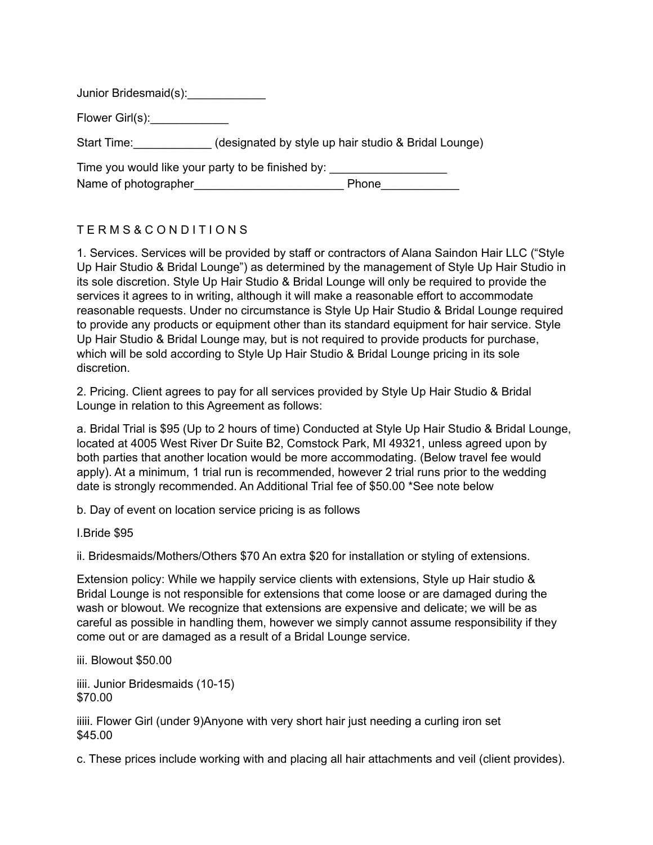Junior Bridesmaid(s):\_\_\_\_\_\_\_\_\_\_\_\_\_

Flower Girl(s):

Start Time: (designated by style up hair studio & Bridal Lounge)

|                      | Time you would like your party to be finished by: |       |
|----------------------|---------------------------------------------------|-------|
| Name of photographer |                                                   | Phone |

### T E R M S & C O N D I T I O N S

1. Services. Services will be provided by staff or contractors of Alana Saindon Hair LLC ("Style Up Hair Studio & Bridal Lounge") as determined by the management of Style Up Hair Studio in its sole discretion. Style Up Hair Studio & Bridal Lounge will only be required to provide the services it agrees to in writing, although it will make a reasonable effort to accommodate reasonable requests. Under no circumstance is Style Up Hair Studio & Bridal Lounge required to provide any products or equipment other than its standard equipment for hair service. Style Up Hair Studio & Bridal Lounge may, but is not required to provide products for purchase, which will be sold according to Style Up Hair Studio & Bridal Lounge pricing in its sole discretion.

2. Pricing. Client agrees to pay for all services provided by Style Up Hair Studio & Bridal Lounge in relation to this Agreement as follows:

a. Bridal Trial is \$95 (Up to 2 hours of time) Conducted at Style Up Hair Studio & Bridal Lounge, located at 4005 West River Dr Suite B2, Comstock Park, MI 49321, unless agreed upon by both parties that another location would be more accommodating. (Below travel fee would apply). At a minimum, 1 trial run is recommended, however 2 trial runs prior to the wedding date is strongly recommended. An Additional Trial fee of \$50.00 \*See note below

b. Day of event on location service pricing is as follows

I.Bride \$95

ii. Bridesmaids/Mothers/Others \$70 An extra \$20 for installation or styling of extensions.

Extension policy: While we happily service clients with extensions, Style up Hair studio & Bridal Lounge is not responsible for extensions that come loose or are damaged during the wash or blowout. We recognize that extensions are expensive and delicate; we will be as careful as possible in handling them, however we simply cannot assume responsibility if they come out or are damaged as a result of a Bridal Lounge service.

iii. Blowout \$50.00

iiii. Junior Bridesmaids (10-15) \$70.00

iiiii. Flower Girl (under 9)Anyone with very short hair just needing a curling iron set \$45.00

c. These prices include working with and placing all hair attachments and veil (client provides).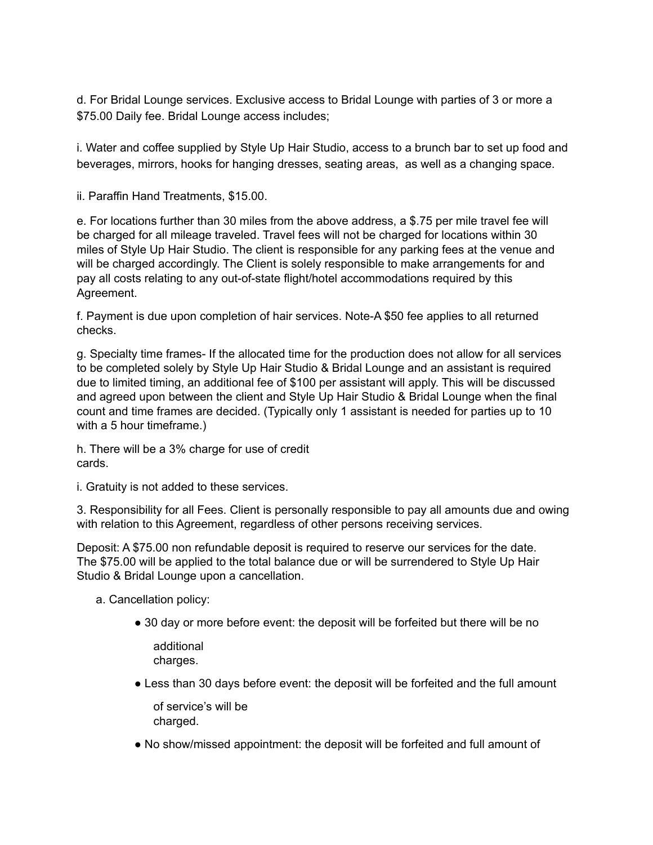d. For Bridal Lounge services. Exclusive access to Bridal Lounge with parties of 3 or more a \$75.00 Daily fee. Bridal Lounge access includes;

i. Water and coffee supplied by Style Up Hair Studio, access to a brunch bar to set up food and beverages, mirrors, hooks for hanging dresses, seating areas, as well as a changing space.

ii. Paraffin Hand Treatments, \$15.00.

e. For locations further than 30 miles from the above address, a \$.75 per mile travel fee will be charged for all mileage traveled. Travel fees will not be charged for locations within 30 miles of Style Up Hair Studio. The client is responsible for any parking fees at the venue and will be charged accordingly. The Client is solely responsible to make arrangements for and pay all costs relating to any out-of-state flight/hotel accommodations required by this Agreement.

f. Payment is due upon completion of hair services. Note-A \$50 fee applies to all returned checks.

g. Specialty time frames- If the allocated time for the production does not allow for all services to be completed solely by Style Up Hair Studio & Bridal Lounge and an assistant is required due to limited timing, an additional fee of \$100 per assistant will apply. This will be discussed and agreed upon between the client and Style Up Hair Studio & Bridal Lounge when the final count and time frames are decided. (Typically only 1 assistant is needed for parties up to 10 with a 5 hour timeframe.)

h. There will be a 3% charge for use of credit cards.

i. Gratuity is not added to these services.

3. Responsibility for all Fees. Client is personally responsible to pay all amounts due and owing with relation to this Agreement, regardless of other persons receiving services.

Deposit: A \$75.00 non refundable deposit is required to reserve our services for the date. The \$75.00 will be applied to the total balance due or will be surrendered to Style Up Hair Studio & Bridal Lounge upon a cancellation.

a. Cancellation policy:

● 30 day or more before event: the deposit will be forfeited but there will be no

additional charges.

● Less than 30 days before event: the deposit will be forfeited and the full amount

of service's will be charged.

● No show/missed appointment: the deposit will be forfeited and full amount of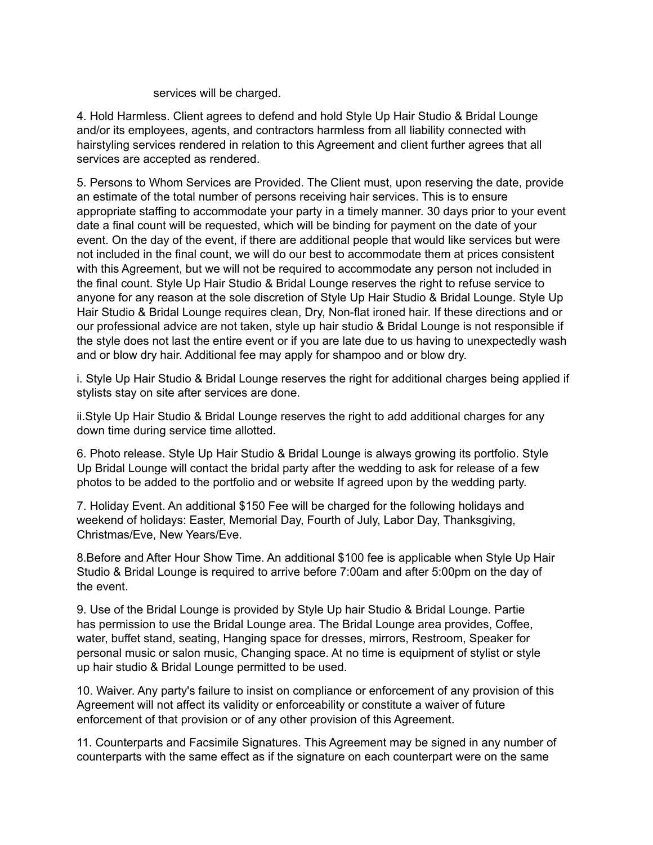#### services will be charged.

4. Hold Harmless. Client agrees to defend and hold Style Up Hair Studio & Bridal Lounge and/or its employees, agents, and contractors harmless from all liability connected with hairstyling services rendered in relation to this Agreement and client further agrees that all services are accepted as rendered.

5. Persons to Whom Services are Provided. The Client must, upon reserving the date, provide an estimate of the total number of persons receiving hair services. This is to ensure appropriate staffing to accommodate your party in a timely manner. 30 days prior to your event date a final count will be requested, which will be binding for payment on the date of your event. On the day of the event, if there are additional people that would like services but were not included in the final count, we will do our best to accommodate them at prices consistent with this Agreement, but we will not be required to accommodate any person not included in the final count. Style Up Hair Studio & Bridal Lounge reserves the right to refuse service to anyone for any reason at the sole discretion of Style Up Hair Studio & Bridal Lounge. Style Up Hair Studio & Bridal Lounge requires clean, Dry, Non-flat ironed hair. If these directions and or our professional advice are not taken, style up hair studio & Bridal Lounge is not responsible if the style does not last the entire event or if you are late due to us having to unexpectedly wash and or blow dry hair. Additional fee may apply for shampoo and or blow dry.

i. Style Up Hair Studio & Bridal Lounge reserves the right for additional charges being applied if stylists stay on site after services are done.

ii.Style Up Hair Studio & Bridal Lounge reserves the right to add additional charges for any down time during service time allotted.

6. Photo release. Style Up Hair Studio & Bridal Lounge is always growing its portfolio. Style Up Bridal Lounge will contact the bridal party after the wedding to ask for release of a few photos to be added to the portfolio and or website If agreed upon by the wedding party.

7. Holiday Event. An additional \$150 Fee will be charged for the following holidays and weekend of holidays: Easter, Memorial Day, Fourth of July, Labor Day, Thanksgiving, Christmas/Eve, New Years/Eve.

8.Before and After Hour Show Time. An additional \$100 fee is applicable when Style Up Hair Studio & Bridal Lounge is required to arrive before 7:00am and after 5:00pm on the day of the event.

9. Use of the Bridal Lounge is provided by Style Up hair Studio & Bridal Lounge. Partie has permission to use the Bridal Lounge area. The Bridal Lounge area provides, Coffee, water, buffet stand, seating, Hanging space for dresses, mirrors, Restroom, Speaker for personal music or salon music, Changing space. At no time is equipment of stylist or style up hair studio & Bridal Lounge permitted to be used.

10. Waiver. Any party's failure to insist on compliance or enforcement of any provision of this Agreement will not affect its validity or enforceability or constitute a waiver of future enforcement of that provision or of any other provision of this Agreement.

11. Counterparts and Facsimile Signatures. This Agreement may be signed in any number of counterparts with the same effect as if the signature on each counterpart were on the same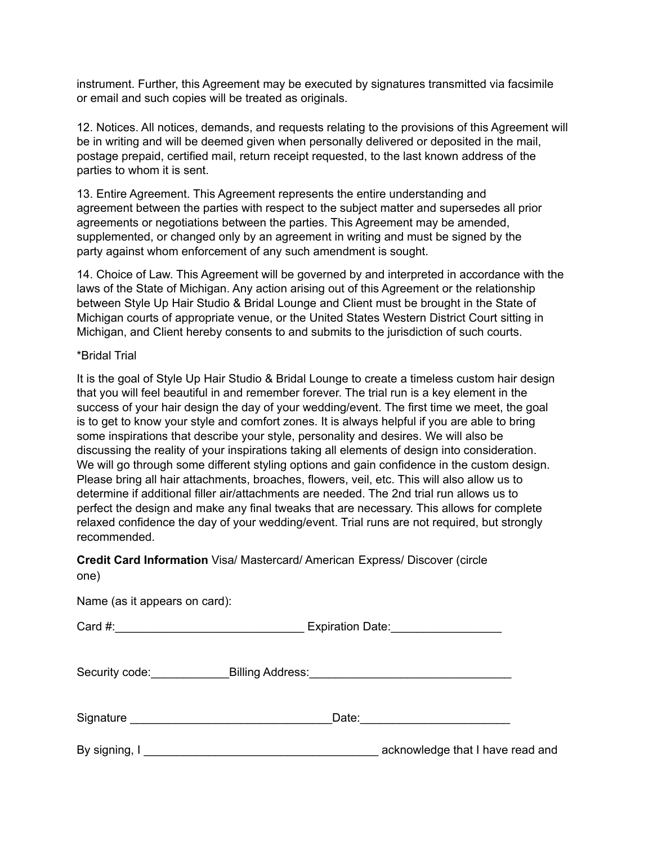instrument. Further, this Agreement may be executed by signatures transmitted via facsimile or email and such copies will be treated as originals.

12. Notices. All notices, demands, and requests relating to the provisions of this Agreement will be in writing and will be deemed given when personally delivered or deposited in the mail, postage prepaid, certified mail, return receipt requested, to the last known address of the parties to whom it is sent.

13. Entire Agreement. This Agreement represents the entire understanding and agreement between the parties with respect to the subject matter and supersedes all prior agreements or negotiations between the parties. This Agreement may be amended, supplemented, or changed only by an agreement in writing and must be signed by the party against whom enforcement of any such amendment is sought.

14. Choice of Law. This Agreement will be governed by and interpreted in accordance with the laws of the State of Michigan. Any action arising out of this Agreement or the relationship between Style Up Hair Studio & Bridal Lounge and Client must be brought in the State of Michigan courts of appropriate venue, or the United States Western District Court sitting in Michigan, and Client hereby consents to and submits to the jurisdiction of such courts.

#### \*Bridal Trial

It is the goal of Style Up Hair Studio & Bridal Lounge to create a timeless custom hair design that you will feel beautiful in and remember forever. The trial run is a key element in the success of your hair design the day of your wedding/event. The first time we meet, the goal is to get to know your style and comfort zones. It is always helpful if you are able to bring some inspirations that describe your style, personality and desires. We will also be discussing the reality of your inspirations taking all elements of design into consideration. We will go through some different styling options and gain confidence in the custom design. Please bring all hair attachments, broaches, flowers, veil, etc. This will also allow us to determine if additional filler air/attachments are needed. The 2nd trial run allows us to perfect the design and make any final tweaks that are necessary. This allows for complete relaxed confidence the day of your wedding/event. Trial runs are not required, but strongly recommended.

#### **Credit Card Information** Visa/ Mastercard/ American Express/ Discover (circle one)

Name (as it appears on card):

Card #:  $\qquad \qquad$  Expiration Date:

Security code:\_\_\_\_\_\_\_\_\_\_\_\_\_\_\_\_Billing Address:\_\_\_\_\_\_\_\_\_\_\_\_\_\_\_\_\_\_\_\_\_\_\_\_\_\_\_\_\_\_\_\_\_\_

| Signature | --<br>odle. |
|-----------|-------------|
|           |             |

By signing, I contract the set of the set of the set of the set of the set of the set of the set of the set of the set of the set of the set of the set of the set of the set of the set of the set of the set of the set of t